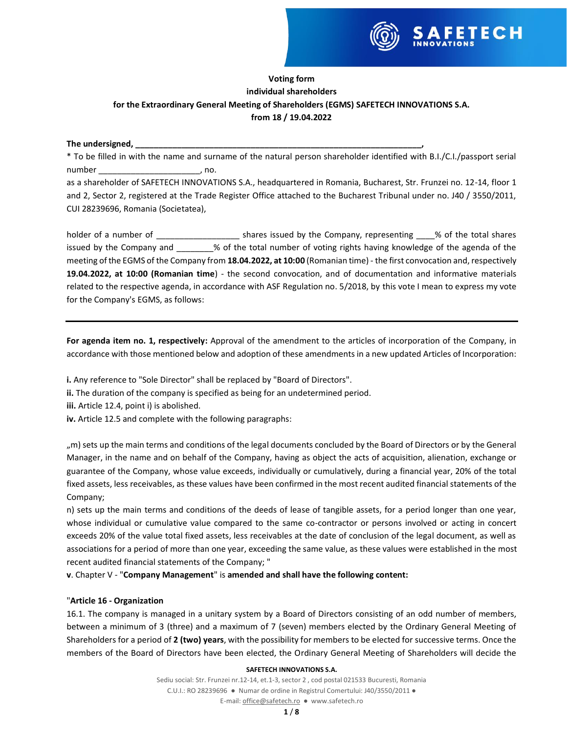

# **Voting form individual shareholders for the Extraordinary General Meeting of Shareholders (EGMS) SAFETECH INNOVATIONS S.A. from 18 / 19.04.2022**

### The undersigned,

\* To be filled in with the name and surname of the natural person shareholder identified with B.I./C.I./passport serial number \_\_\_\_\_\_\_\_\_\_\_\_\_\_\_\_\_\_\_\_\_\_\_\_\_\_\_\_\_\_\_\_\_\_\_, no.

as a shareholder of SAFETECH INNOVATIONS S.A., headquartered in Romania, Bucharest, Str. Frunzei no. 12-14, floor 1 and 2, Sector 2, registered at the Trade Register Office attached to the Bucharest Tribunal under no. J40 / 3550/2011, CUI 28239696, Romania (Societatea),

holder of a number of  $\Box$  shares issued by the Company, representing  $\Box$  % of the total shares issued by the Company and \_\_\_\_\_\_\_% of the total number of voting rights having knowledge of the agenda of the meeting of the EGMS of the Company from **18.04.2022, at 10:00** (Romanian time) - the first convocation and, respectively **19.04.2022, at 10:00 (Romanian time**) - the second convocation, and of documentation and informative materials related to the respective agenda, in accordance with ASF Regulation no. 5/2018, by this vote I mean to express my vote for the Company's EGMS, as follows:

**For agenda item no. 1, respectively:** Approval of the amendment to the articles of incorporation of the Company, in accordance with those mentioned below and adoption of these amendments in a new updated Articles of Incorporation:

**i.** Any reference to "Sole Director" shall be replaced by "Board of Directors".

- **ii.** The duration of the company is specified as being for an undetermined period.
- **iii.** Article 12.4, point i) is abolished.
- **iv.** Article 12.5 and complete with the following paragraphs:

", m) sets up the main terms and conditions of the legal documents concluded by the Board of Directors or by the General Manager, in the name and on behalf of the Company, having as object the acts of acquisition, alienation, exchange or guarantee of the Company, whose value exceeds, individually or cumulatively, during a financial year, 20% of the total fixed assets, less receivables, as these values have been confirmed in the most recent audited financial statements of the Company;

n) sets up the main terms and conditions of the deeds of lease of tangible assets, for a period longer than one year, whose individual or cumulative value compared to the same co-contractor or persons involved or acting in concert exceeds 20% of the value total fixed assets, less receivables at the date of conclusion of the legal document, as well as associations for a period of more than one year, exceeding the same value, as these values were established in the most recent audited financial statements of the Company; "

**v**. Chapter V - "**Company Management**" is **amended and shall have the following content:**

## "**Article 16 - Organization**

16.1. The company is managed in a unitary system by a Board of Directors consisting of an odd number of members, between a minimum of 3 (three) and a maximum of 7 (seven) members elected by the Ordinary General Meeting of Shareholders for a period of **2 (two) years**, with the possibility for members to be elected for successive terms. Once the members of the Board of Directors have been elected, the Ordinary General Meeting of Shareholders will decide the

### **SAFETECH INNOVATIONS S.A.**

Sediu social: Str. Frunzei nr.12-14, et.1-3, sector 2 , cod postal 021533 Bucuresti, Romania C.U.I.: RO 28239696 ● Numar de ordine in Registrul Comertului: J40/3550/2011 ●

E-mail[: office@safetech.ro](mailto:office@safetech.ro) ● www.safetech.ro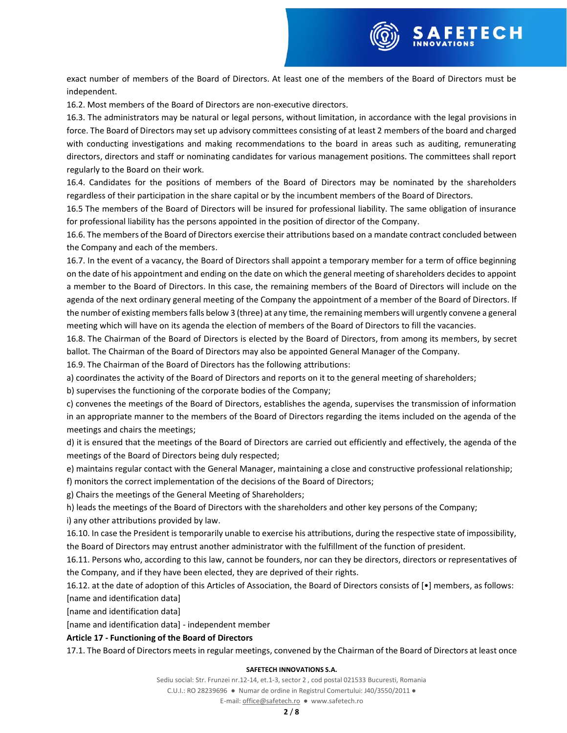

exact number of members of the Board of Directors. At least one of the members of the Board of Directors must be independent.

16.2. Most members of the Board of Directors are non-executive directors.

16.3. The administrators may be natural or legal persons, without limitation, in accordance with the legal provisions in force. The Board of Directors may set up advisory committees consisting of at least 2 members of the board and charged with conducting investigations and making recommendations to the board in areas such as auditing, remunerating directors, directors and staff or nominating candidates for various management positions. The committees shall report regularly to the Board on their work.

16.4. Candidates for the positions of members of the Board of Directors may be nominated by the shareholders regardless of their participation in the share capital or by the incumbent members of the Board of Directors.

16.5 The members of the Board of Directors will be insured for professional liability. The same obligation of insurance for professional liability has the persons appointed in the position of director of the Company.

16.6. The members of the Board of Directors exercise their attributions based on a mandate contract concluded between the Company and each of the members.

16.7. In the event of a vacancy, the Board of Directors shall appoint a temporary member for a term of office beginning on the date of his appointment and ending on the date on which the general meeting of shareholders decides to appoint a member to the Board of Directors. In this case, the remaining members of the Board of Directors will include on the agenda of the next ordinary general meeting of the Company the appointment of a member of the Board of Directors. If the number of existing members falls below 3 (three) at any time, the remaining members will urgently convene a general meeting which will have on its agenda the election of members of the Board of Directors to fill the vacancies.

16.8. The Chairman of the Board of Directors is elected by the Board of Directors, from among its members, by secret ballot. The Chairman of the Board of Directors may also be appointed General Manager of the Company.

16.9. The Chairman of the Board of Directors has the following attributions:

a) coordinates the activity of the Board of Directors and reports on it to the general meeting of shareholders;

b) supervises the functioning of the corporate bodies of the Company;

c) convenes the meetings of the Board of Directors, establishes the agenda, supervises the transmission of information in an appropriate manner to the members of the Board of Directors regarding the items included on the agenda of the meetings and chairs the meetings;

d) it is ensured that the meetings of the Board of Directors are carried out efficiently and effectively, the agenda of the meetings of the Board of Directors being duly respected;

e) maintains regular contact with the General Manager, maintaining a close and constructive professional relationship;

f) monitors the correct implementation of the decisions of the Board of Directors;

g) Chairs the meetings of the General Meeting of Shareholders;

h) leads the meetings of the Board of Directors with the shareholders and other key persons of the Company; i) any other attributions provided by law.

16.10. In case the President is temporarily unable to exercise his attributions, during the respective state of impossibility, the Board of Directors may entrust another administrator with the fulfillment of the function of president.

16.11. Persons who, according to this law, cannot be founders, nor can they be directors, directors or representatives of the Company, and if they have been elected, they are deprived of their rights.

16.12. at the date of adoption of this Articles of Association, the Board of Directors consists of [•] members, as follows: [name and identification data]

[name and identification data]

[name and identification data] - independent member

### **Article 17 - Functioning of the Board of Directors**

17.1. The Board of Directors meets in regular meetings, convened by the Chairman of the Board of Directors at least once

### **SAFETECH INNOVATIONS S.A.**

Sediu social: Str. Frunzei nr.12-14, et.1-3, sector 2 , cod postal 021533 Bucuresti, Romania C.U.I.: RO 28239696 ● Numar de ordine in Registrul Comertului: J40/3550/2011 ●

E-mail[: office@safetech.ro](mailto:office@safetech.ro) ● www.safetech.ro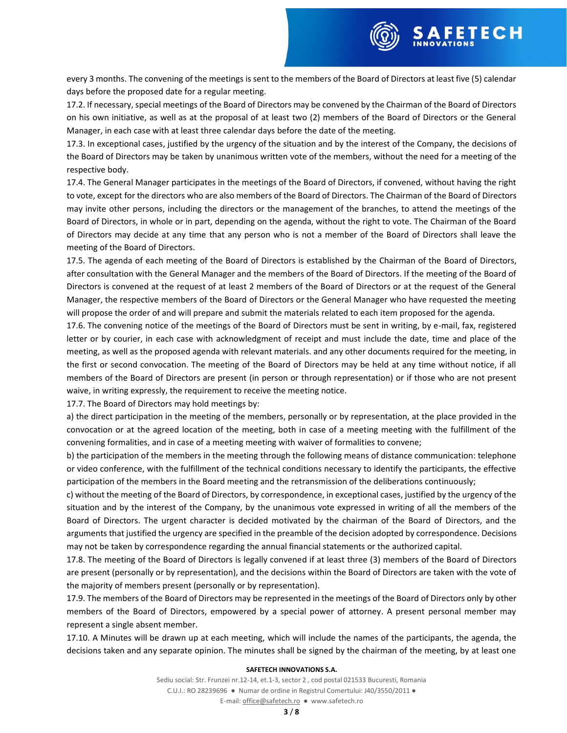

every 3 months. The convening of the meetings is sent to the members of the Board of Directors at least five (5) calendar days before the proposed date for a regular meeting.

17.2. If necessary, special meetings of the Board of Directors may be convened by the Chairman of the Board of Directors on his own initiative, as well as at the proposal of at least two (2) members of the Board of Directors or the General Manager, in each case with at least three calendar days before the date of the meeting.

17.3. In exceptional cases, justified by the urgency of the situation and by the interest of the Company, the decisions of the Board of Directors may be taken by unanimous written vote of the members, without the need for a meeting of the respective body.

17.4. The General Manager participates in the meetings of the Board of Directors, if convened, without having the right to vote, except for the directors who are also members of the Board of Directors. The Chairman of the Board of Directors may invite other persons, including the directors or the management of the branches, to attend the meetings of the Board of Directors, in whole or in part, depending on the agenda, without the right to vote. The Chairman of the Board of Directors may decide at any time that any person who is not a member of the Board of Directors shall leave the meeting of the Board of Directors.

17.5. The agenda of each meeting of the Board of Directors is established by the Chairman of the Board of Directors, after consultation with the General Manager and the members of the Board of Directors. If the meeting of the Board of Directors is convened at the request of at least 2 members of the Board of Directors or at the request of the General Manager, the respective members of the Board of Directors or the General Manager who have requested the meeting will propose the order of and will prepare and submit the materials related to each item proposed for the agenda.

17.6. The convening notice of the meetings of the Board of Directors must be sent in writing, by e-mail, fax, registered letter or by courier, in each case with acknowledgment of receipt and must include the date, time and place of the meeting, as well as the proposed agenda with relevant materials. and any other documents required for the meeting, in the first or second convocation. The meeting of the Board of Directors may be held at any time without notice, if all members of the Board of Directors are present (in person or through representation) or if those who are not present waive, in writing expressly, the requirement to receive the meeting notice.

17.7. The Board of Directors may hold meetings by:

a) the direct participation in the meeting of the members, personally or by representation, at the place provided in the convocation or at the agreed location of the meeting, both in case of a meeting meeting with the fulfillment of the convening formalities, and in case of a meeting meeting with waiver of formalities to convene;

b) the participation of the members in the meeting through the following means of distance communication: telephone or video conference, with the fulfillment of the technical conditions necessary to identify the participants, the effective participation of the members in the Board meeting and the retransmission of the deliberations continuously;

c) without the meeting of the Board of Directors, by correspondence, in exceptional cases, justified by the urgency of the situation and by the interest of the Company, by the unanimous vote expressed in writing of all the members of the Board of Directors. The urgent character is decided motivated by the chairman of the Board of Directors, and the arguments that justified the urgency are specified in the preamble of the decision adopted by correspondence. Decisions may not be taken by correspondence regarding the annual financial statements or the authorized capital.

17.8. The meeting of the Board of Directors is legally convened if at least three (3) members of the Board of Directors are present (personally or by representation), and the decisions within the Board of Directors are taken with the vote of the majority of members present (personally or by representation).

17.9. The members of the Board of Directors may be represented in the meetings of the Board of Directors only by other members of the Board of Directors, empowered by a special power of attorney. A present personal member may represent a single absent member.

17.10. A Minutes will be drawn up at each meeting, which will include the names of the participants, the agenda, the decisions taken and any separate opinion. The minutes shall be signed by the chairman of the meeting, by at least one

### **SAFETECH INNOVATIONS S.A.**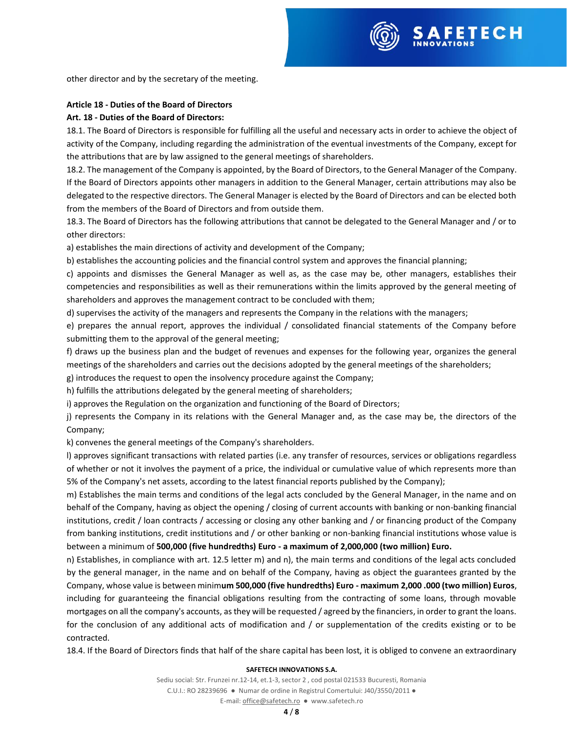

other director and by the secretary of the meeting.

## **Article 18 - Duties of the Board of Directors**

## **Art. 18 - Duties of the Board of Directors:**

18.1. The Board of Directors is responsible for fulfilling all the useful and necessary acts in order to achieve the object of activity of the Company, including regarding the administration of the eventual investments of the Company, except for the attributions that are by law assigned to the general meetings of shareholders.

18.2. The management of the Company is appointed, by the Board of Directors, to the General Manager of the Company. If the Board of Directors appoints other managers in addition to the General Manager, certain attributions may also be delegated to the respective directors. The General Manager is elected by the Board of Directors and can be elected both from the members of the Board of Directors and from outside them.

18.3. The Board of Directors has the following attributions that cannot be delegated to the General Manager and / or to other directors:

a) establishes the main directions of activity and development of the Company;

b) establishes the accounting policies and the financial control system and approves the financial planning;

c) appoints and dismisses the General Manager as well as, as the case may be, other managers, establishes their competencies and responsibilities as well as their remunerations within the limits approved by the general meeting of shareholders and approves the management contract to be concluded with them;

d) supervises the activity of the managers and represents the Company in the relations with the managers;

e) prepares the annual report, approves the individual / consolidated financial statements of the Company before submitting them to the approval of the general meeting;

f) draws up the business plan and the budget of revenues and expenses for the following year, organizes the general meetings of the shareholders and carries out the decisions adopted by the general meetings of the shareholders;

g) introduces the request to open the insolvency procedure against the Company;

h) fulfills the attributions delegated by the general meeting of shareholders;

i) approves the Regulation on the organization and functioning of the Board of Directors;

j) represents the Company in its relations with the General Manager and, as the case may be, the directors of the Company;

k) convenes the general meetings of the Company's shareholders.

l) approves significant transactions with related parties (i.e. any transfer of resources, services or obligations regardless of whether or not it involves the payment of a price, the individual or cumulative value of which represents more than 5% of the Company's net assets, according to the latest financial reports published by the Company);

m) Establishes the main terms and conditions of the legal acts concluded by the General Manager, in the name and on behalf of the Company, having as object the opening / closing of current accounts with banking or non-banking financial institutions, credit / loan contracts / accessing or closing any other banking and / or financing product of the Company from banking institutions, credit institutions and / or other banking or non-banking financial institutions whose value is between a minimum of **500,000 (five hundredths) Euro - a maximum of 2,000,000 (two million) Euro.**

n) Establishes, in compliance with art. 12.5 letter m) and n), the main terms and conditions of the legal acts concluded by the general manager, in the name and on behalf of the Company, having as object the guarantees granted by the Company, whose value is between minim**um 500,000 (five hundredths) Euro - maximum 2,000 .000 (two million) Euros**, including for guaranteeing the financial obligations resulting from the contracting of some loans, through movable mortgages on all the company's accounts, as they will be requested / agreed by the financiers, in order to grant the loans. for the conclusion of any additional acts of modification and / or supplementation of the credits existing or to be contracted.

18.4. If the Board of Directors finds that half of the share capital has been lost, it is obliged to convene an extraordinary

### **SAFETECH INNOVATIONS S.A.**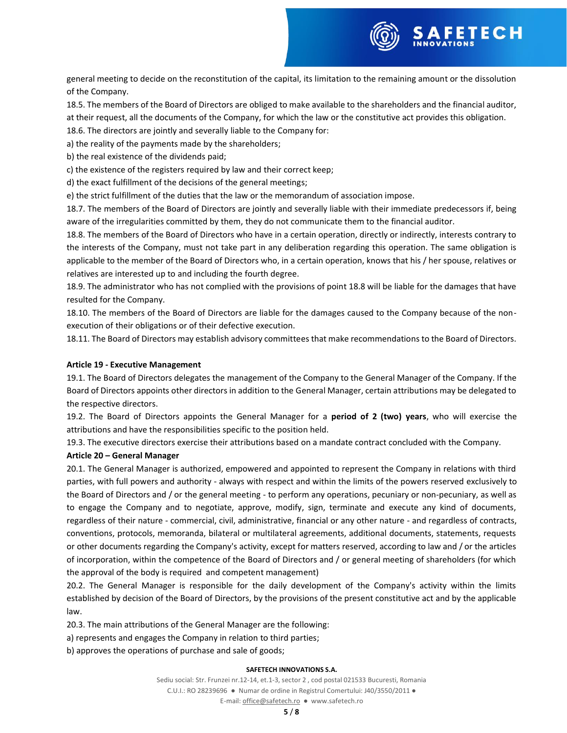

general meeting to decide on the reconstitution of the capital, its limitation to the remaining amount or the dissolution of the Company.

18.5. The members of the Board of Directors are obliged to make available to the shareholders and the financial auditor,

at their request, all the documents of the Company, for which the law or the constitutive act provides this obligation.

18.6. The directors are jointly and severally liable to the Company for:

a) the reality of the payments made by the shareholders;

b) the real existence of the dividends paid;

c) the existence of the registers required by law and their correct keep;

d) the exact fulfillment of the decisions of the general meetings;

e) the strict fulfillment of the duties that the law or the memorandum of association impose.

18.7. The members of the Board of Directors are jointly and severally liable with their immediate predecessors if, being aware of the irregularities committed by them, they do not communicate them to the financial auditor.

18.8. The members of the Board of Directors who have in a certain operation, directly or indirectly, interests contrary to the interests of the Company, must not take part in any deliberation regarding this operation. The same obligation is applicable to the member of the Board of Directors who, in a certain operation, knows that his / her spouse, relatives or relatives are interested up to and including the fourth degree.

18.9. The administrator who has not complied with the provisions of point 18.8 will be liable for the damages that have resulted for the Company.

18.10. The members of the Board of Directors are liable for the damages caused to the Company because of the nonexecution of their obligations or of their defective execution.

18.11. The Board of Directors may establish advisory committees that make recommendations to the Board of Directors.

# **Article 19 - Executive Management**

19.1. The Board of Directors delegates the management of the Company to the General Manager of the Company. If the Board of Directors appoints other directors in addition to the General Manager, certain attributions may be delegated to the respective directors.

19.2. The Board of Directors appoints the General Manager for a **period of 2 (two) years**, who will exercise the attributions and have the responsibilities specific to the position held.

19.3. The executive directors exercise their attributions based on a mandate contract concluded with the Company.

## **Article 20 – General Manager**

20.1. The General Manager is authorized, empowered and appointed to represent the Company in relations with third parties, with full powers and authority - always with respect and within the limits of the powers reserved exclusively to the Board of Directors and / or the general meeting - to perform any operations, pecuniary or non-pecuniary, as well as to engage the Company and to negotiate, approve, modify, sign, terminate and execute any kind of documents, regardless of their nature - commercial, civil, administrative, financial or any other nature - and regardless of contracts, conventions, protocols, memoranda, bilateral or multilateral agreements, additional documents, statements, requests or other documents regarding the Company's activity, except for matters reserved, according to law and / or the articles of incorporation, within the competence of the Board of Directors and / or general meeting of shareholders (for which the approval of the body is required and competent management)

20.2. The General Manager is responsible for the daily development of the Company's activity within the limits established by decision of the Board of Directors, by the provisions of the present constitutive act and by the applicable law.

20.3. The main attributions of the General Manager are the following:

a) represents and engages the Company in relation to third parties;

b) approves the operations of purchase and sale of goods;

### **SAFETECH INNOVATIONS S.A.**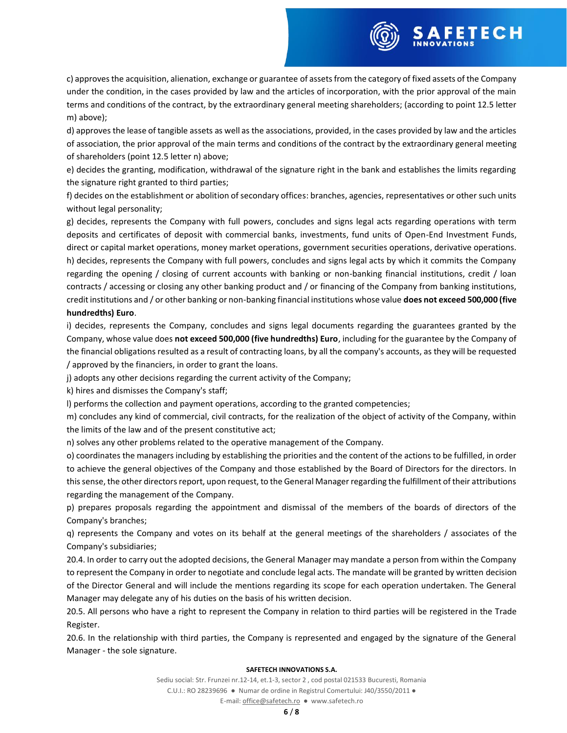

c) approves the acquisition, alienation, exchange or guarantee of assets from the category of fixed assets of the Company under the condition, in the cases provided by law and the articles of incorporation, with the prior approval of the main terms and conditions of the contract, by the extraordinary general meeting shareholders; (according to point 12.5 letter m) above);

d) approves the lease of tangible assets as well as the associations, provided, in the cases provided by law and the articles of association, the prior approval of the main terms and conditions of the contract by the extraordinary general meeting of shareholders (point 12.5 letter n) above;

e) decides the granting, modification, withdrawal of the signature right in the bank and establishes the limits regarding the signature right granted to third parties;

f) decides on the establishment or abolition of secondary offices: branches, agencies, representatives or other such units without legal personality;

g) decides, represents the Company with full powers, concludes and signs legal acts regarding operations with term deposits and certificates of deposit with commercial banks, investments, fund units of Open-End Investment Funds, direct or capital market operations, money market operations, government securities operations, derivative operations. h) decides, represents the Company with full powers, concludes and signs legal acts by which it commits the Company regarding the opening / closing of current accounts with banking or non-banking financial institutions, credit / loan contracts / accessing or closing any other banking product and / or financing of the Company from banking institutions, credit institutions and / or other banking or non-banking financial institutions whose value **does not exceed 500,000 (five hundredths) Euro**.

i) decides, represents the Company, concludes and signs legal documents regarding the guarantees granted by the Company, whose value does **not exceed 500,000 (five hundredths) Euro**, including for the guarantee by the Company of the financial obligations resulted as a result of contracting loans, by all the company's accounts, as they will be requested / approved by the financiers, in order to grant the loans.

j) adopts any other decisions regarding the current activity of the Company;

k) hires and dismisses the Company's staff;

l) performs the collection and payment operations, according to the granted competencies;

m) concludes any kind of commercial, civil contracts, for the realization of the object of activity of the Company, within the limits of the law and of the present constitutive act;

n) solves any other problems related to the operative management of the Company.

o) coordinates the managers including by establishing the priorities and the content of the actions to be fulfilled, in order to achieve the general objectives of the Company and those established by the Board of Directors for the directors. In this sense, the other directors report, upon request, to the General Manager regarding the fulfillment of their attributions regarding the management of the Company.

p) prepares proposals regarding the appointment and dismissal of the members of the boards of directors of the Company's branches;

q) represents the Company and votes on its behalf at the general meetings of the shareholders / associates of the Company's subsidiaries;

20.4. In order to carry out the adopted decisions, the General Manager may mandate a person from within the Company to represent the Company in order to negotiate and conclude legal acts. The mandate will be granted by written decision of the Director General and will include the mentions regarding its scope for each operation undertaken. The General Manager may delegate any of his duties on the basis of his written decision.

20.5. All persons who have a right to represent the Company in relation to third parties will be registered in the Trade Register.

20.6. In the relationship with third parties, the Company is represented and engaged by the signature of the General Manager - the sole signature.

#### **SAFETECH INNOVATIONS S.A.**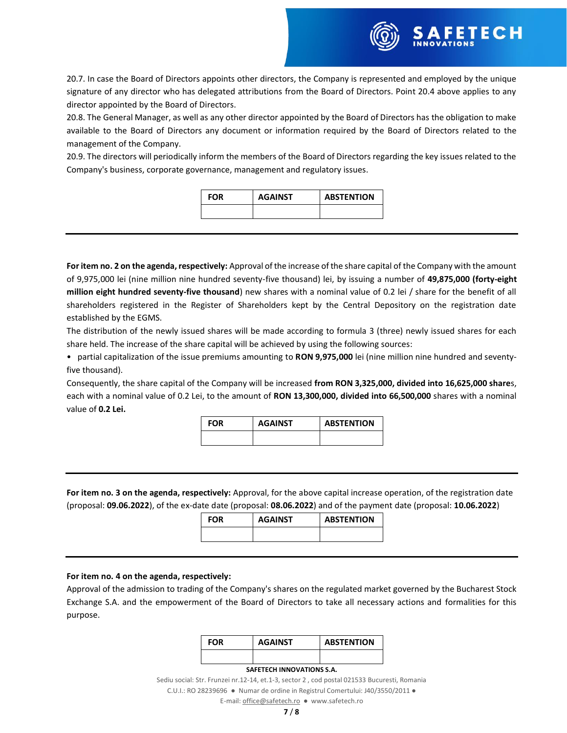

20.7. In case the Board of Directors appoints other directors, the Company is represented and employed by the unique signature of any director who has delegated attributions from the Board of Directors. Point 20.4 above applies to any director appointed by the Board of Directors.

20.8. The General Manager, as well as any other director appointed by the Board of Directors has the obligation to make available to the Board of Directors any document or information required by the Board of Directors related to the management of the Company.

20.9. The directors will periodically inform the members of the Board of Directors regarding the key issues related to the Company's business, corporate governance, management and regulatory issues.

| <b>FOR</b> | <b>AGAINST</b> | <b>ABSTENTION</b> |
|------------|----------------|-------------------|
|            |                |                   |

**For item no. 2 on the agenda, respectively:** Approval of the increase of the share capital of the Company with the amount of 9,975,000 lei (nine million nine hundred seventy-five thousand) lei, by issuing a number of **49,875,000 (forty-eight million eight hundred seventy-five thousand**) new shares with a nominal value of 0.2 lei / share for the benefit of all shareholders registered in the Register of Shareholders kept by the Central Depository on the registration date established by the EGMS.

The distribution of the newly issued shares will be made according to formula 3 (three) newly issued shares for each share held. The increase of the share capital will be achieved by using the following sources:

• partial capitalization of the issue premiums amounting to **RON 9,975,000** lei (nine million nine hundred and seventyfive thousand).

Consequently, the share capital of the Company will be increased **from RON 3,325,000, divided into 16,625,000 share**s, each with a nominal value of 0.2 Lei, to the amount of **RON 13,300,000, divided into 66,500,000** shares with a nominal value of **0.2 Lei.**

| FOR | <b>AGAINST</b> | <b>ABSTENTION</b> |
|-----|----------------|-------------------|
|     |                |                   |

**For item no. 3 on the agenda, respectively:** Approval, for the above capital increase operation, of the registration date (proposal: **09.06.2022**), of the ex-date date (proposal: **08.06.2022**) and of the payment date (proposal: **10.06.2022**)

| <b>FOR</b> | <b>AGAINST</b> | <b>ABSTENTION</b> |
|------------|----------------|-------------------|
|            |                |                   |

### **For item no. 4 on the agenda, respectively:**

Approval of the admission to trading of the Company's shares on the regulated market governed by the Bucharest Stock Exchange S.A. and the empowerment of the Board of Directors to take all necessary actions and formalities for this purpose.

| FOR | <b>AGAINST</b> | <b>ABSTENTION</b> |
|-----|----------------|-------------------|
|     |                |                   |

#### **SAFETECH INNOVATIONS S.A.**